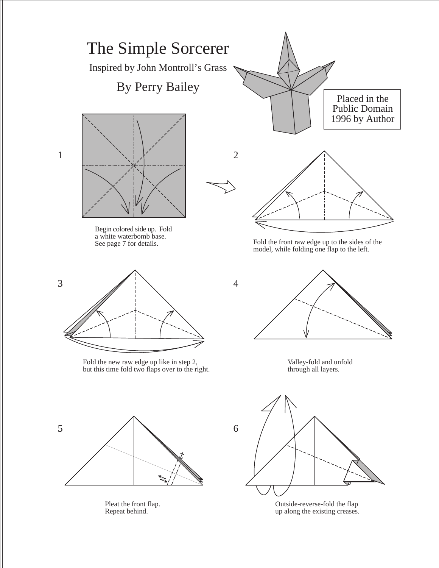

Pleat the front flap. Repeat behind.

Outside-reverse-fold the flap up along the existing creases.